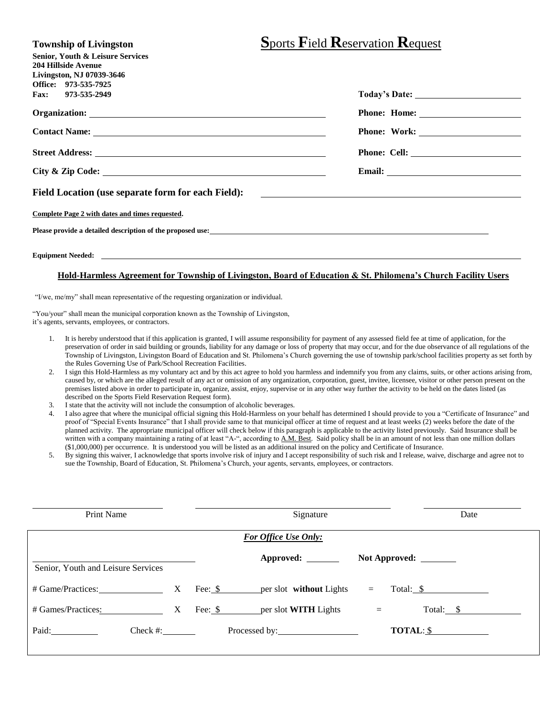| <b>Township of Livingston</b>                                                                                                                                                                                                  | <b>Sports Field Reservation Request</b>                             |
|--------------------------------------------------------------------------------------------------------------------------------------------------------------------------------------------------------------------------------|---------------------------------------------------------------------|
| <b>Senior, Youth &amp; Leisure Services</b>                                                                                                                                                                                    |                                                                     |
| <b>204 Hillside Avenue</b><br>Livingston, NJ 07039-3646                                                                                                                                                                        |                                                                     |
| Office: 973-535-7925                                                                                                                                                                                                           |                                                                     |
| Fax: 973-535-2949                                                                                                                                                                                                              |                                                                     |
|                                                                                                                                                                                                                                |                                                                     |
|                                                                                                                                                                                                                                |                                                                     |
|                                                                                                                                                                                                                                |                                                                     |
|                                                                                                                                                                                                                                |                                                                     |
| Field Location (use separate form for each Field):                                                                                                                                                                             | <u> 1980 - Andrea Station Barbara, amerikan personal (h. 1980).</u> |
| Complete Page 2 with dates and times requested.                                                                                                                                                                                |                                                                     |
| Please provide a detailed description of the proposed use:                                                                                                                                                                     |                                                                     |
| Equipment Needed: The contract of the contract of the contract of the contract of the contract of the contract of the contract of the contract of the contract of the contract of the contract of the contract of the contract |                                                                     |

## **Hold-Harmless Agreement for Township of Livingston, Board of Education & St. Philomena's Church Facility Users**

"I/we, me/my" shall mean representative of the requesting organization or individual.

"You/your" shall mean the municipal corporation known as the Township of Livingston, it's agents, servants, employees, or contractors.

- 1. It is hereby understood that if this application is granted, I will assume responsibility for payment of any assessed field fee at time of application, for the preservation of order in said building or grounds, liability for any damage or loss of property that may occur, and for the due observance of all regulations of the Township of Livingston, Livingston Board of Education and St. Philomena's Church governing the use of township park/school facilities property as set forth by the Rules Governing Use of Park/School Recreation Facilities.
- 2. I sign this Hold-Harmless as my voluntary act and by this act agree to hold you harmless and indemnify you from any claims, suits, or other actions arising from, caused by, or which are the alleged result of any act or omission of any organization, corporation, guest, invitee, licensee, visitor or other person present on the premises listed above in order to participate in, organize, assist, enjoy, supervise or in any other way further the activity to be held on the dates listed (as described on the Sports Field Reservation Request form).
- 3. I state that the activity will not include the consumption of alcoholic beverages.
- 4. I also agree that where the municipal official signing this Hold-Harmless on your behalf has determined I should provide to you a "Certificate of Insurance" and proof of "Special Events Insurance" that I shall provide same to that municipal officer at time of request and at least weeks (2) weeks before the date of the planned activity. The appropriate municipal officer will check below if this paragraph is applicable to the activity listed previously. Said Insurance shall be written with a company maintaining a rating of at least "A-", according to A.M. Best. Said policy shall be in an amount of not less than one million dollars (\$1,000,000) per occurrence. It is understood you will be listed as an additional insured on the policy and Certificate of Insurance.
- 5. By signing this waiver, I acknowledge that sports involve risk of injury and I accept responsibility of such risk and I release, waive, discharge and agree not to sue the Township, Board of Education, St. Philomena's Church, your agents, servants, employees, or contractors.

| Print Name<br>Signature            |  | Date                                         |               |           |  |  |  |  |
|------------------------------------|--|----------------------------------------------|---------------|-----------|--|--|--|--|
| <b>For Office Use Only:</b>        |  |                                              |               |           |  |  |  |  |
| Senior, Youth and Leisure Services |  | Approved: _______                            | Not Approved: |           |  |  |  |  |
| # Game/Practices: X                |  | Fee: $\$\$<br>per slot <b>without</b> Lights | $=$           | Total: \$ |  |  |  |  |
| # Games/Practices: X               |  | Fee: \$ per slot WITH Lights                 | $=$           | Total: \$ |  |  |  |  |
| Paid:<br>$Check \#:$               |  |                                              |               | TOTAL: \$ |  |  |  |  |
|                                    |  |                                              |               |           |  |  |  |  |